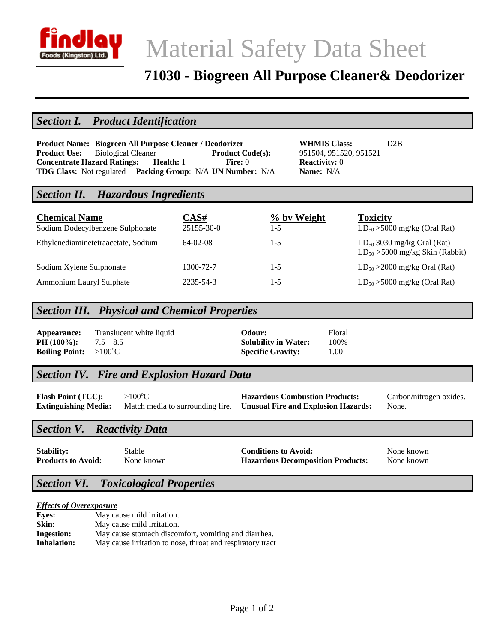

# Material Safety Data Sheet

## **71030 - Biogreen All Purpose Cleaner& Deodorizer**

## *Section I. Product Identification*

|                                                                           | Product Name: Biogreen All Purpose Cleaner / Deodorizer |           |  |                         |  |
|---------------------------------------------------------------------------|---------------------------------------------------------|-----------|--|-------------------------|--|
| <b>Product Use:</b> Biological Cleaner                                    |                                                         |           |  | <b>Product Code(s):</b> |  |
| <b>Concentrate Hazard Ratings:</b>                                        |                                                         | Health: 1 |  | Fire: $0$               |  |
| <b>TDG Class:</b> Not regulated <b>Packing Group</b> : N/A UN Number: N/A |                                                         |           |  |                         |  |

**Product Name: Biogreen All Purpose Cleaner / Deodorizer WHMIS Class:** D2B **Product Use:** Biological Cleaner **Product Code(s):** 951504, 951520, 951521 **Reactivity:** 0 **Name:** N/A

## *Section II. Hazardous Ingredients*

| <b>Chemical Name</b><br>Sodium Dodecylbenzene Sulphonate | CAS#<br>25155-30-0 | % by Weight<br>1-5 | <b>Toxicity</b><br>$LD_{50} > 5000$ mg/kg (Oral Rat)                    |
|----------------------------------------------------------|--------------------|--------------------|-------------------------------------------------------------------------|
| Ethylenediaminetetraacetate, Sodium                      | $64-02-08$         | $1 - 5$            | $LD_{50}$ 3030 mg/kg Oral (Rat)<br>$LD_{50} > 5000$ mg/kg Skin (Rabbit) |
| Sodium Xylene Sulphonate                                 | 1300-72-7          | $1 - 5$            | $LD_{50} > 2000$ mg/kg Oral (Rat)                                       |
| Ammonium Lauryl Sulphate                                 | 2235-54-3          | 1-5                | $LD_{50} > 5000$ mg/kg (Oral Rat)                                       |

## *Section III. Physical and Chemical Properties*

| Appearance:                            | Translucent white liquid | Odour:                      | Floral |
|----------------------------------------|--------------------------|-----------------------------|--------|
| <b>PH</b> $(100\%)$ :                  | $7.5 - 8.5$              | <b>Solubility in Water:</b> | 100%   |
| <b>Boiling Point:</b> $>100^{\circ}$ C |                          | <b>Specific Gravity:</b>    | 1.00   |

## *Section IV. Fire and Explosion Hazard Data*

Flash Point (TCC): >100°C **Hazardous Combustion Products:** Carbon/nitrogen oxides. **Extinguishing Media:** Match media to surrounding fire. **Unusual Fire and Explosion Hazards:** None.

## *Section V. Reactivity Data*

| <b>Stability:</b>         |  |
|---------------------------|--|
| <b>Products to Avoid:</b> |  |

**Stable <b>Conditions to Avoid:** None known None known **Products:** None known **Hazardous Decomposition Products:** None known

## *Section VI. Toxicological Properties*

#### *Effects of Overexposure*

| <b>Eyes:</b>      | May cause mild irritation.                                 |
|-------------------|------------------------------------------------------------|
| Skin:             | May cause mild irritation.                                 |
| <b>Ingestion:</b> | May cause stomach discomfort, vomiting and diarrhea.       |
| Inhalation:       | May cause irritation to nose, throat and respiratory tract |